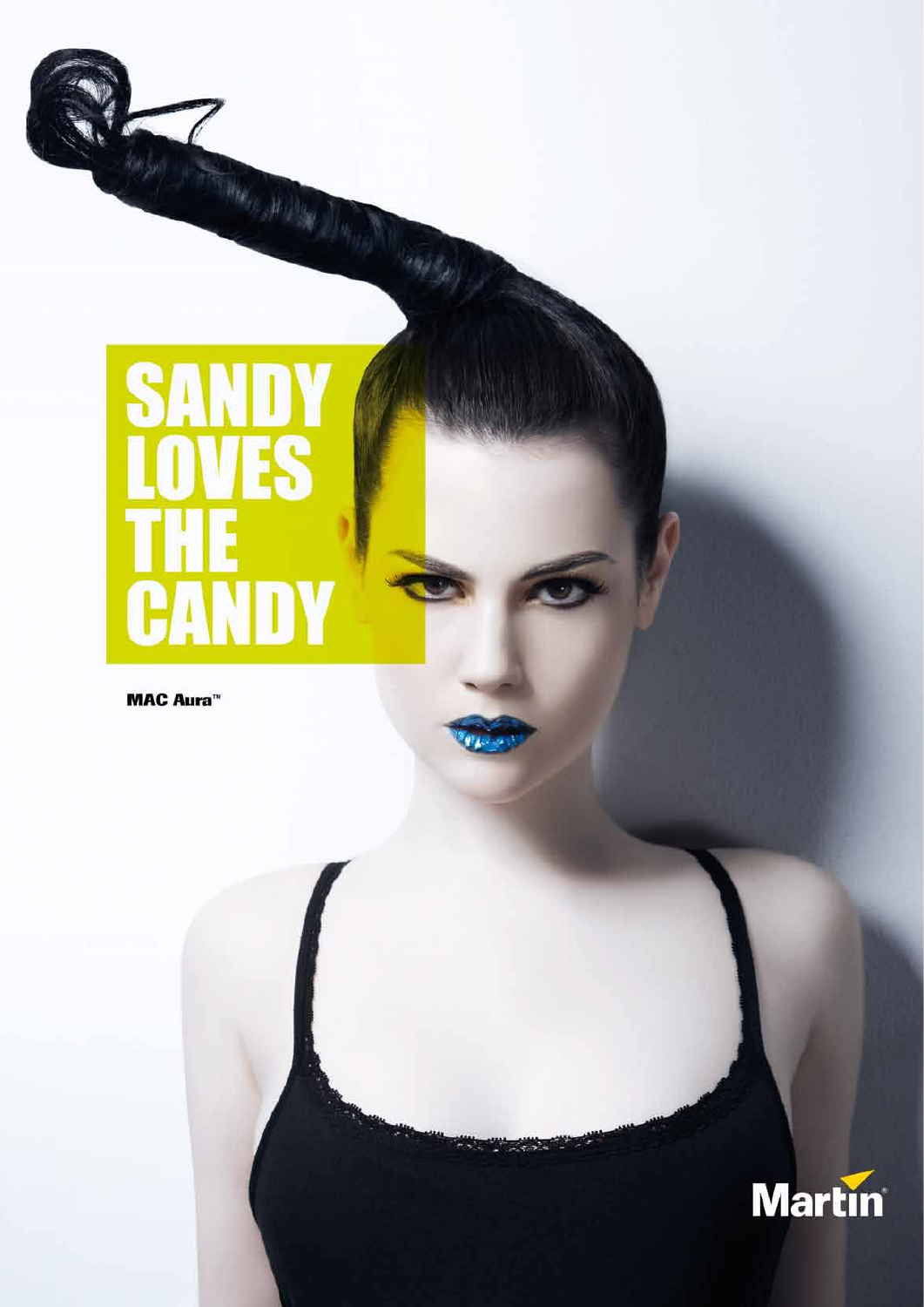

**SANDY<br>LOVES<br>THE<br>CANDY** 



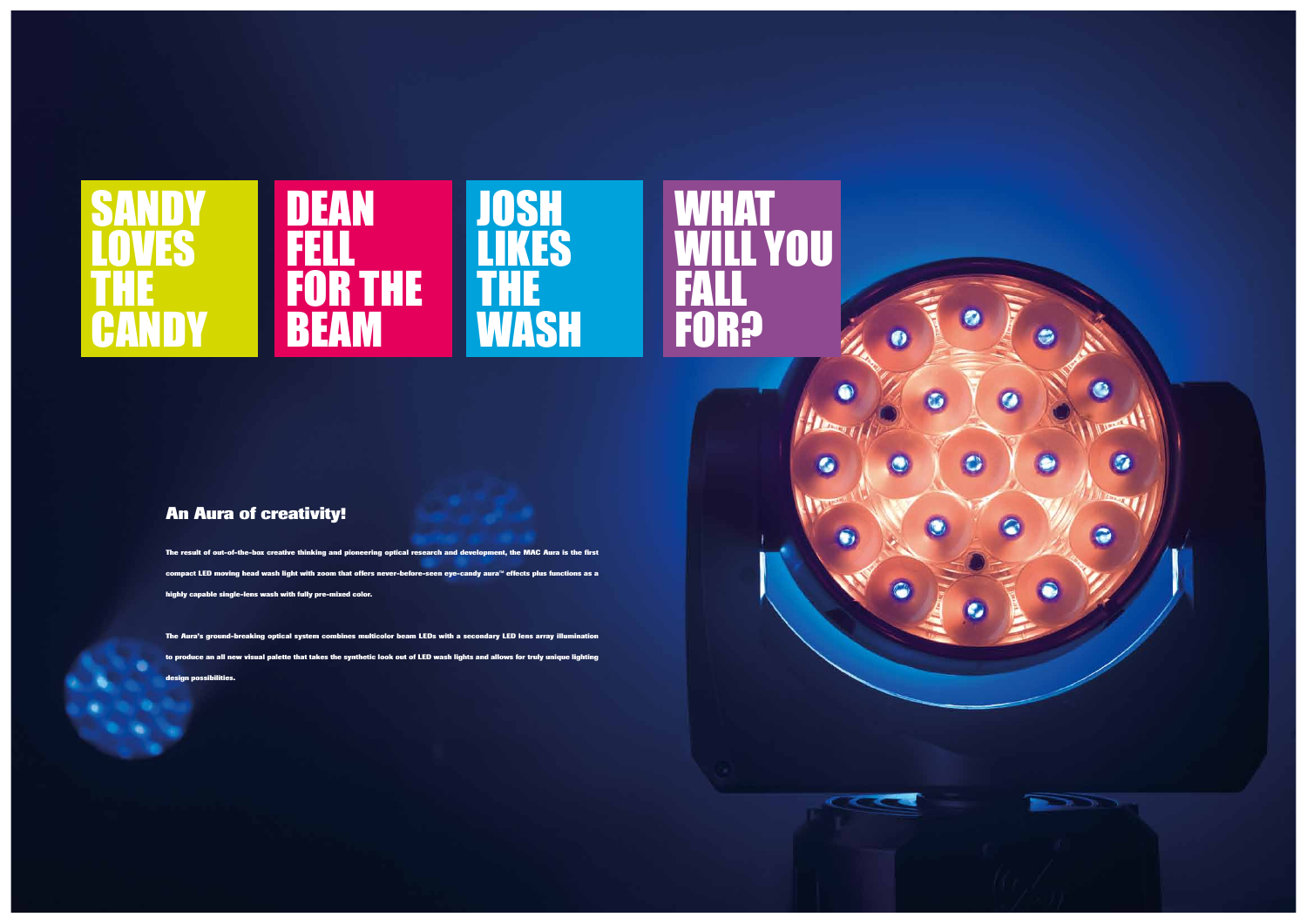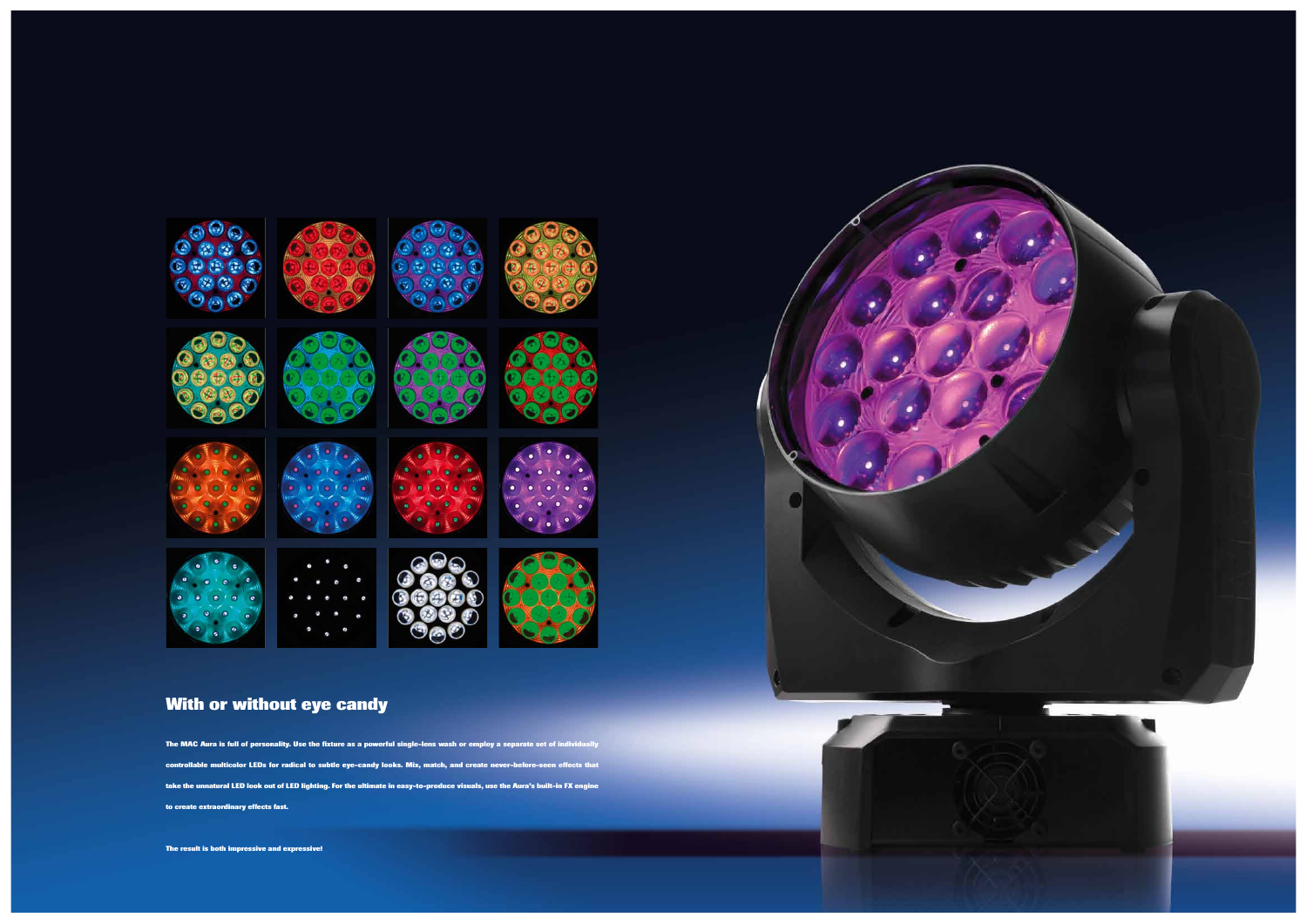**The MAC Aura is full of personality. Use the fixture as a powerful single-lens wash or employ a separate set of individually controllable multicolor LEDs for radical to subtle eye-candy looks. Mix, match, and create never-before-seen effects that take the unnatural LED look out of LED lighting. For the ultimate in easy-to-produce visuals, use the Aura's built-in FX engine to create extraordinary effects fast.**

**The result is both impressive and expressive!**





# **With or without eye candy**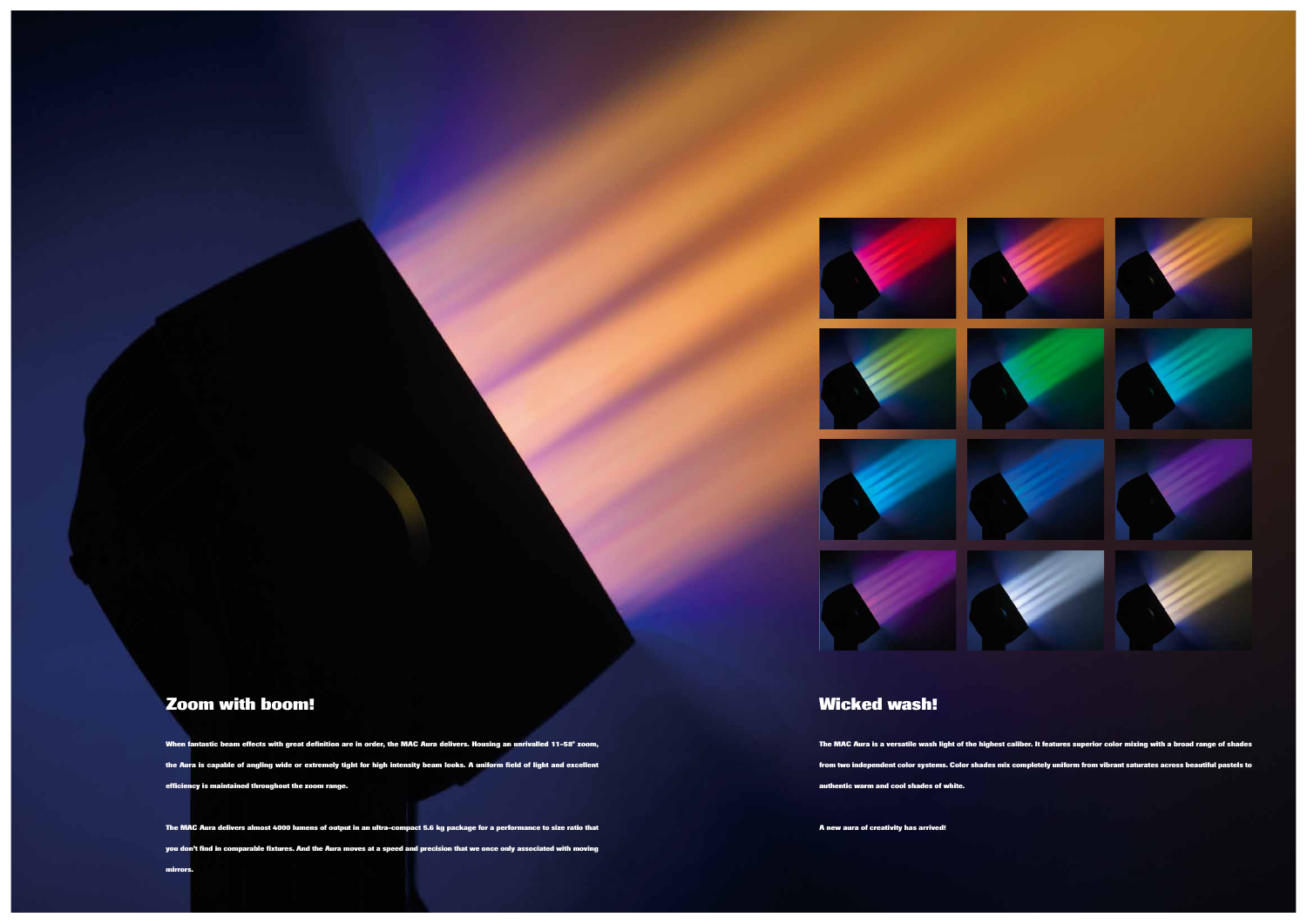**When fantastic beam effects with great definition are in order, the MAC Aura delivers. Housing an unrivalled 11-58° zoom, the Aura is capable of angling wide or extremely tight for high intensity beam looks. A uniform field of light and excellent efficiency is maintained throughout the zoom range.** 

**The MAC Aura delivers almost 4000 lumens of output in an ultra-compact 5.6 kg package for a performance to size ratio that you don't find in comparable fixtures. And the Aura moves at a speed and precision that we once only associated with moving mirrors.**

## **Zoom with boom!**

**The MAC Aura is a versatile wash light of the highest caliber. It features superior color mixing with a broad range of shades from two independent color systems. Color shades mix completely uniform from vibrant saturates across beautiful pastels to authentic warm and cool shades of white.** 

**A new aura of creativity has arrived!**